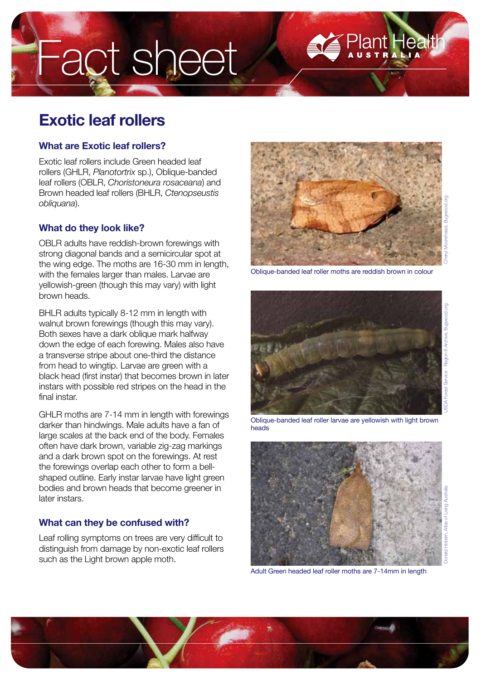# Fact sheet

# **Exotic leaf rollers**

### **What are Exotic leaf rollers?**

Exotic leaf rollers include Green headed leaf rollers (GHLR, *Planotortrix* sp.), Oblique-banded leaf rollers (OBLR, *Choristoneura rosaceana*) and Brown headed leaf rollers (BHLR, *Ctenopseustis obliquana*).

# **What do they look like?**

OBLR adults have reddish-brown forewings with strong diagonal bands and a semicircular spot at the wing edge. The moths are 16-30 mm in length, with the females larger than males. Larvae are yellowish-green (though this may vary) with light brown heads.

BHLR adults typically 8-12 mm in length with walnut brown forewings (though this may vary). Both sexes have a dark oblique mark halfway down the edge of each forewing. Males also have a transverse stripe about one-third the distance from head to wingtip. Larvae are green with a black head (first instar) that becomes brown in later instars with possible red stripes on the head in the final instar.

GHLR moths are 7-14 mm in length with forewings darker than hindwings. Male adults have a fan of large scales at the back end of the body. Females often have dark brown, variable zig-zag markings and a dark brown spot on the forewings. At rest the forewings overlap each other to form a bellshaped outline. Early instar larvae have light green bodies and brown heads that become greener in later instars.

# **What can they be confused with?**

Leaf rolling symptoms on trees are very difficult to distinguish from damage by non-exotic leaf rollers such as the Light brown apple moth.



lant Heal





Oblique-banded leaf roller larvae are yellowish with light brown heads



Adult Green headed leaf roller moths are 7-14mm in length

![](_page_0_Picture_17.jpeg)